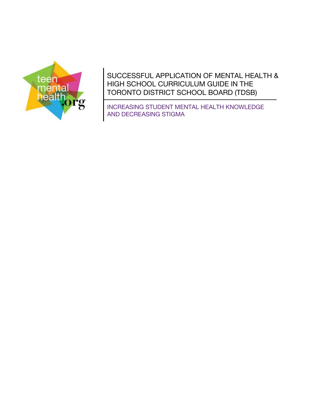

SUCCESSFUL APPLICATION OF MENTAL HEALTH & HIGH SCHOOL CURRICULUM GUIDE IN THE TORONTO DISTRICT SCHOOL BOARD (TDSB)

INCREASING STUDENT MENTAL HEALTH KNOWLEDGE AND DECREASING STIGMA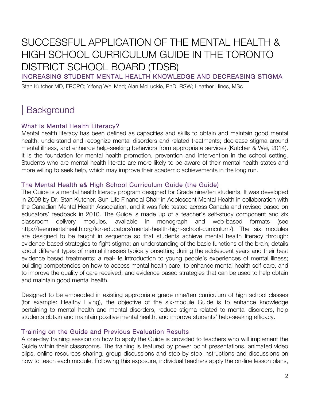# SUCCESSFUL APPLICATION OF THE MENTAL HEALTH & HIGH SCHOOL CURRICULUM GUIDE IN THE TORONTO DISTRICT SCHOOL BOARD (TDSB)

INCREASING STUDENT MENTAL HEALTH KNOWLEDGE AND DECREASING STIGMA

Stan Kutcher MD, FRCPC; Yifeng Wei Med; Alan McLuckie, PhD, RSW; Heather Hines, MSc

# | Background

### What is Mental Health Literacy?

Mental health literacy has been defined as capacities and skills to obtain and maintain good mental health; understand and recognize mental disorders and related treatments; decrease stigma around mental illness, and enhance help-seeking behaviors from appropriate services (Kutcher & Wei, 2014). It is the foundation for mental health promotion, prevention and intervention in the school setting. Students who are mental health literate are more likely to be aware of their mental health states and more willing to seek help, which may improve their academic achievements in the long run.

### The Mental Health a& High School Curriculum Guide (the Guide)

The Guide is a mental health literacy program designed for Grade nine/ten students. It was developed in 2008 by Dr. Stan Kutcher, Sun Life Financial Chair in Adolescent Mental Health in collaboration with the Canadian Mental Health Association, and it was field tested across Canada and revised based on educators' feedback in 2010. The Guide is made up of a teacher's self-study component and six classroom delivery modules, available in monograph and web-based formats (see http://teenmentalhealth.org/for-educators/mental-health-high-school-curriculum/). The six modules are designed to be taught in sequence so that students achieve mental health literacy through: evidence-based strategies to fight stigma; an understanding of the basic functions of the brain; details about different types of mental illnesses typically onsetting during the adolescent years and their best evidence based treatments; a real-life introduction to young people's experiences of mental illness; building competencies on how to access mental health care, to enhance mental health self-care, and to improve the quality of care received; and evidence based strategies that can be used to help obtain and maintain good mental health.

Designed to be embedded in existing appropriate grade nine/ten curriculum of high school classes (for example: Healthy Living), the objective of the six-module Guide is to enhance knowledge pertaining to mental health and mental disorders, reduce stigma related to mental disorders, help students obtain and maintain positive mental health, and improve students' help-seeking efficacy.

### Training on the Guide and Previous Evaluation Results

A one-day training session on how to apply the Guide is provided to teachers who will implement the Guide within their classrooms. The training is featured by power point presentations, animated video clips, online resources sharing, group discussions and step-by-step instructions and discussions on how to teach each module. Following this exposure, individual teachers apply the on-line lesson plans,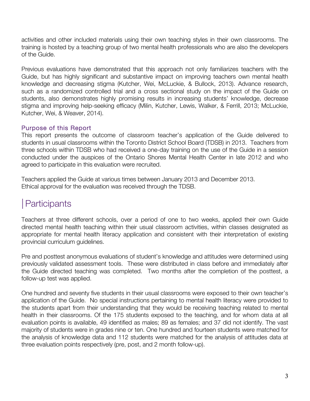activities and other included materials using their own teaching styles in their own classrooms. The training is hosted by a teaching group of two mental health professionals who are also the developers of the Guide.

Previous evaluations have demonstrated that this approach not only familiarizes teachers with the Guide, but has highly significant and substantive impact on improving teachers own mental health knowledge and decreasing stigma (Kutcher, Wei, McLuckie, & Bullock, 2013). Advance research, such as a randomized controlled trial and a cross sectional study on the impact of the Guide on students, also demonstrates highly promising results in increasing students' knowledge, decrease stigma and improving help-seeking efficacy (Milin, Kutcher, Lewis, Walker, & Ferrill, 2013; McLuckie, Kutcher, Wei, & Weaver, 2014).

### Purpose of this Report

This report presents the outcome of classroom teacher's application of the Guide delivered to students in usual classrooms within the Toronto District School Board (TDSB) in 2013. Teachers from three schools within TDSB who had received a one-day training on the use of the Guide in a session conducted under the auspices of the Ontario Shores Mental Health Center in late 2012 and who agreed to participate in this evaluation were recruited.

Teachers applied the Guide at various times between January 2013 and December 2013. Ethical approval for the evaluation was received through the TDSB.

# | Participants

Teachers at three different schools, over a period of one to two weeks, applied their own Guide directed mental health teaching within their usual classroom activities, within classes designated as appropriate for mental health literacy application and consistent with their interpretation of existing provincial curriculum guidelines.

Pre and posttest anonymous evaluations of student's knowledge and attitudes were determined using previously validated assessment tools. These were distributed in class before and immediately after the Guide directed teaching was completed. Two months after the completion of the posttest, a follow-up test was applied.

One hundred and seventy five students in their usual classrooms were exposed to their own teacher's application of the Guide. No special instructions pertaining to mental health literacy were provided to the students apart from their understanding that they would be receiving teaching related to mental health in their classrooms. Of the 175 students exposed to the teaching, and for whom data at all evaluation points is available, 49 identified as males; 89 as females; and 37 did not identify. The vast majority of students were in grades nine or ten. One hundred and fourteen students were matched for the analysis of knowledge data and 112 students were matched for the analysis of attitudes data at three evaluation points respectively (pre, post, and 2 month follow-up).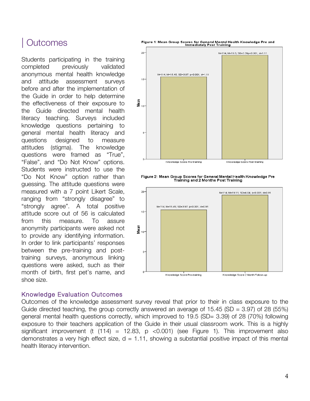# **Outcomes**

Students participating in the training completed previously validated anonymous mental health knowledge and attitude assessment surveys before and after the implementation of the Guide in order to help determine the effectiveness of their exposure to the Guide directed mental health literacy teaching. Surveys included knowledge questions pertaining to general mental health literacy and questions designed to measure attitudes (stigma). The knowledge questions were framed as "True", "False", and "Do Not Know" options. Students were instructed to use the "Do Not Know" option rather than guessing. The attitude questions were measured with a 7 point Likert Scale, ranging from "strongly disagree" to "strongly agree". A total positive attitude score out of 56 is calculated from this measure. To assure anonymity participants were asked not to provide any identifying information. In order to link participants' responses between the pre-training and posttraining surveys, anonymous linking questions were asked, such as their month of birth, first pet's name, and shoe size.

#### Figure 1: Mean Group Scores for General Mental Health Knowledge Pre and<br>Immediately Post Training



Figure 2: Mean Group Scores for General Mental Health Knowledge Pre Training and 2 Months Post Training



#### Knowledge Evaluation Outcomes

Outcomes of the knowledge assessment survey reveal that prior to their in class exposure to the Guide directed teaching, the group correctly answered an average of 15.45 (SD = 3.97) of 28 (55%) general mental health questions correctly, which improved to 19.5 (SD= 3.39) of 28 (70%) following exposure to their teachers application of the Guide in their usual classroom work. This is a highly significant improvement (t  $(114) = 12.83$ , p <0.001) (see Figure 1). This improvement also demonstrates a very high effect size,  $d = 1.11$ , showing a substantial positive impact of this mental health literacy intervention.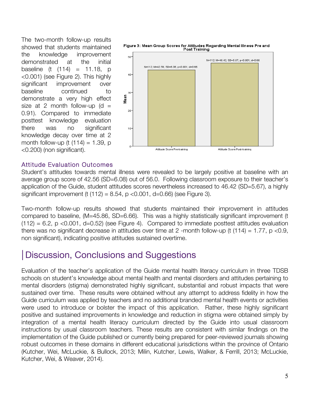The two-month follow-up results showed that students maintained the knowledge improvement demonstrated at the initial baseline (t  $(114) = 11.18$ , p <0.001) (see Figure 2). This highly significant improvement over baseline continued to demonstrate a very high effect size at 2 month follow-up (d = 0.91). Compared to immediate posttest knowledge evaluation there was no significant knowledge decay over time at 2 month follow-up (t  $(114) = 1.39$ , p <0.200) (non significant).



#### Attitude Evaluation Outcomes

Student's attitudes towards mental illness were revealed to be largely positive at baseline with an average group score of 42.56 (SD=6.08) out of 56.0. Following classroom exposure to their teacher's application of the Guide, student attitudes scores nevertheless increased to 46.42 (SD=5.67), a highly significant improvement (t  $(112) = 8.54$ , p <0.001, d=0.66) (see Figure 3).

Two-month follow-up results showed that students maintained their improvement in attitudes compared to baseline, (M=45.86, SD=6.66). This was a highly statistically significant improvement (t  $(112) = 6.2$ , p <0.001, d=0.52) (see Figure 4). Compared to immediate posttest attitudes evaluation there was no significant decrease in attitudes over time at 2 -month follow-up (t  $(114) = 1.77$ , p <0.9, non significant), indicating positive attitudes sustained overtime.

## | Discussion, Conclusions and Suggestions

Evaluation of the teacher's application of the Guide mental health literacy curriculum in three TDSB schools on student's knowledge about mental health and mental disorders and attitudes pertaining to mental disorders (stigma) demonstrated highly significant, substantial and robust impacts that were sustained over time. These results were obtained without any attempt to address fidelity in how the Guide curriculum was applied by teachers and no additional branded mental health events or activities were used to introduce or bolster the impact of this application. Rather, these highly significant positive and sustained improvements in knowledge and reduction in stigma were obtained simply by integration of a mental health literacy curriculum directed by the Guide into usual classroom instructions by usual classroom teachers. These results are consistent with similar findings on the implementation of the Guide published or currently being prepared for peer-reviewed journals showing robust outcomes in these domains in different educational jurisdictions within the province of Ontario (Kutcher, Wei, McLuckie, & Bullock, 2013; Milin, Kutcher, Lewis, Walker, & Ferrill, 2013; McLuckie, Kutcher, Wei, & Weaver, 2014).